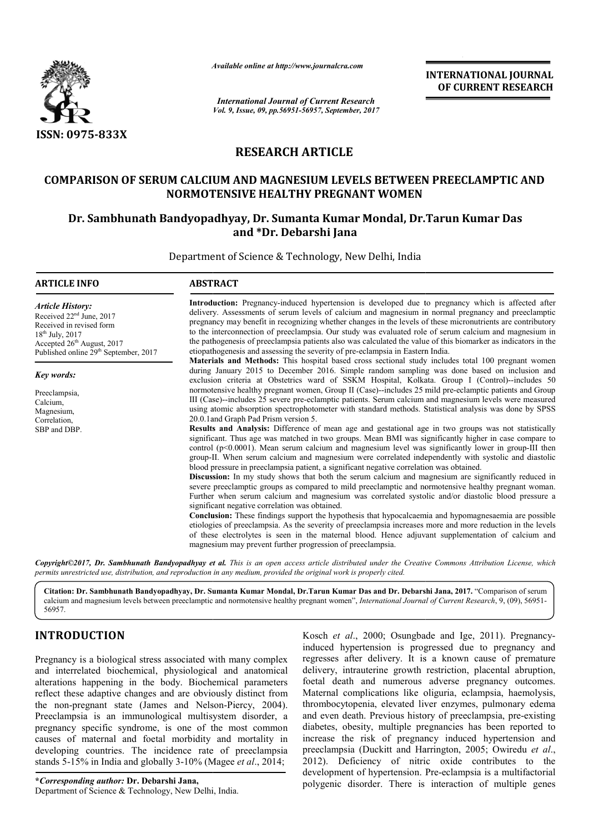

*Available online at http://www.journal http://www.journalcra.com*

*International Journal of Current Research Vol. 9, Issue, 09, pp.56951-56957, September, 2017* **INTERNATIONAL JOURNAL OF CURRENT RESEARCH** 

# **RESEARCH ARTICLE**

## **COMPARISON OF SERUM CALCIUM AND MAGNESIUM LEVELS BETWEEN PREECLAMPTIC AND NORMOTENSIVE HEALTHY PREGNANT WOMEN**

# Dr. Sambhunath Bandyopadhyay, Dr. Sumanta Kumar Mondal, Dr.Tarun Kumar Das **and \*Dr. Debarshi Jana**

Department of Science & Technology, New Delhi, India

| <b>ARTICLE INFO</b>                                                                                                                                                                                                | <b>ABSTRACT</b>                                                                                                                                                                                                                                                                                                                                                                                                                                                                                                                                                                                                                                                                                                                                                                                                                                                                                                                                                                                                                                                                                                                                                                                                                                                                                                                                                                                                                                                                                                                                                                                                                                                                                 |  |  |  |  |  |
|--------------------------------------------------------------------------------------------------------------------------------------------------------------------------------------------------------------------|-------------------------------------------------------------------------------------------------------------------------------------------------------------------------------------------------------------------------------------------------------------------------------------------------------------------------------------------------------------------------------------------------------------------------------------------------------------------------------------------------------------------------------------------------------------------------------------------------------------------------------------------------------------------------------------------------------------------------------------------------------------------------------------------------------------------------------------------------------------------------------------------------------------------------------------------------------------------------------------------------------------------------------------------------------------------------------------------------------------------------------------------------------------------------------------------------------------------------------------------------------------------------------------------------------------------------------------------------------------------------------------------------------------------------------------------------------------------------------------------------------------------------------------------------------------------------------------------------------------------------------------------------------------------------------------------------|--|--|--|--|--|
| <b>Article History:</b><br>Received 22 <sup>nd</sup> June, 2017<br>Received in revised form<br>$18^{th}$ July, 2017<br>Accepted 26 <sup>th</sup> August, 2017<br>Published online 29 <sup>th</sup> September, 2017 | Introduction: Pregnancy-induced hypertension is developed due to pregnancy which is affected after<br>delivery. Assessments of serum levels of calcium and magnesium in normal pregnancy and preeclamptic<br>pregnancy may benefit in recognizing whether changes in the levels of these micronutrients are contributory<br>to the interconnection of preeclampsia. Our study was evaluated role of serum calcium and magnesium in<br>the pathogenesis of preeclampsia patients also was calculated the value of this biomarker as indicators in the<br>etiopathogenesis and assessing the severity of pre-eclampsia in Eastern India.<br><b>Materials and Methods:</b> This hospital based cross sectional study includes total 100 pregnant women                                                                                                                                                                                                                                                                                                                                                                                                                                                                                                                                                                                                                                                                                                                                                                                                                                                                                                                                             |  |  |  |  |  |
| <b>Key words:</b>                                                                                                                                                                                                  | during January 2015 to December 2016. Simple random sampling was done based on inclusion and<br>exclusion criteria at Obstetrics ward of SSKM Hospital, Kolkata. Group I (Control)--includes 50                                                                                                                                                                                                                                                                                                                                                                                                                                                                                                                                                                                                                                                                                                                                                                                                                                                                                                                                                                                                                                                                                                                                                                                                                                                                                                                                                                                                                                                                                                 |  |  |  |  |  |
| Preeclampsia,<br>Calcium,<br>Magnesium,<br>Correlation,<br>SBP and DBP.                                                                                                                                            | normotensive healthy pregnant women, Group II (Case)--includes 25 mild pre-eclamptic patients and Group<br>III (Case)--includes 25 severe pre-eclamptic patients. Serum calcium and magnesium levels were measured<br>using atomic absorption spectrophotometer with standard methods. Statistical analysis was done by SPSS<br>20.0.1 and Graph Pad Prism version 5.<br><b>Results and Analysis:</b> Difference of mean age and gestational age in two groups was not statistically<br>significant. Thus age was matched in two groups. Mean BMI was significantly higher in case compare to<br>control ( $p<0.0001$ ). Mean serum calcium and magnesium level was significantly lower in group-III then<br>group-II. When serum calcium and magnesium were correlated independently with systolic and diastolic<br>blood pressure in preeclampsia patient, a significant negative correlation was obtained.<br><b>Discussion:</b> In my study shows that both the serum calcium and magnesium are significantly reduced in<br>severe preeclamptic groups as compared to mild preeclamptic and normotensive healthy pregnant woman.<br>Further when serum calcium and magnesium was correlated systolic and/or diastolic blood pressure a<br>significant negative correlation was obtained.<br><b>Conclusion:</b> These findings support the hypothesis that hypocalcaemia and hypomagnesaemia are possible<br>etiologies of preeclampsia. As the severity of preeclampsia increases more and more reduction in the levels<br>of these electrolytes is seen in the maternal blood. Hence adjuvant supplementation of calcium and<br>magnesium may prevent further progression of preeclampsia. |  |  |  |  |  |

*Copyright©2017, Dr. Sambhunath Bandyopadhyay et al al. This is an open access article distributed under the Creative Commons Att under the Commons Attribution License, which permits unrestricted use, distribution, and reproduction in any medium, provided the original work is properly cited.*

Citation: Dr. Sambhunath Bandyopadhyay, Dr. Sumanta Kumar Mondal, Dr.Tarun Kumar Das and Dr. Debarshi Jana, 2017. "Comparison of serum calcium and magnesium levels between preeclamptic and normotensive healthy pregnant women", *International Journal of Current Research*, 9, (09), 56951-56957.

# **INTRODUCTION**

Pregnancy is a biological stress associated with many complex and interrelated biochemical, physiological and anatomical alterations happening in the body. Biochemical parameters reflect these adaptive changes and are obviously distinct from the non-pregnant state (James and Nelson Nelson-Piercy, 2004). Preeclampsia is an immunological multisystem disorder, a pregnancy specific syndrome, is one of the most common causes of maternal and foetal morbidity and mortality in developing countries. The incidence rate of preeclampsia stands 5-15% in India and globally 3-10% (Magee *et al.*, 2014;

**\****Corresponding author:* **Dr. Debarshi Jana,** Department of Science & Technology, New Delhi, India.

Kosch *et al*., 2000; Osungbade and Ige, 2011). Pregnancyinduced hypertension is progressed due to pregnancy and regresses after delivery. It is a known cause of premature delivery, intrauterine growth restriction, placental abruption, foetal death and numerous adverse pregnancy outcomes. Maternal complications like oliguria, eclampsia, haemolysis, thrombocytopenia, elevated liver enzymes, pulmonary edema and even death. Previous history of preeclampsia, pre diabetes, obesity, multiple pregnancies has been reported to increase the risk of pregnancy induced hypertension and preeclampsia (Duckitt and Harrington, 2005; Owiredu et al., 2012). Deficiency of nitric oxide contributes to the 2012). Deficiency of nitric oxide contributes to the development of hypertension. Pre-eclampsia is a multifactorial polygenic disorder. There is interaction of multiple genes delivery. It is a known cause of premature<br>terine growth restriction, placental abruption,<br>ind numerous adverse pregnancy outcomes.<br>lications like oliguria, eclampsia, haemolysis,<br>inia, elevated liver enzymes, pulmonary ed pregnancies has been reported to<br>nancy induced hypertension and<br>Harrington, 2005; Owiredu *et al.*,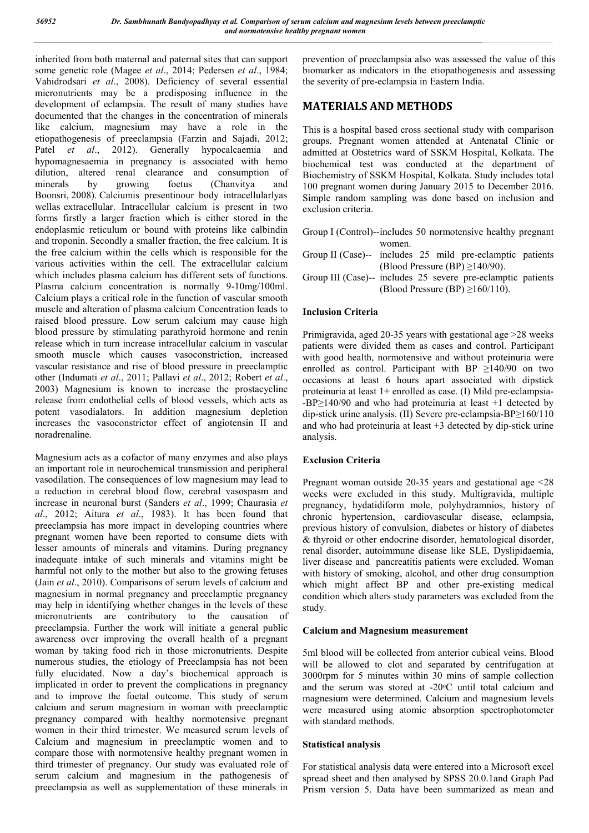inherited from both maternal and paternal sites that can support some genetic role (Magee *et al*., 2014; Pedersen *et al*., 1984; Vahidrodsari *et al*., 2008). Deficiency of several essential micronutrients may be a predisposing influence in the development of eclampsia. The result of many studies have documented that the changes in the concentration of minerals like calcium, magnesium may have a role in the etiopathogenesis of preeclampsia (Farzin and Sajadi, 2012; Patel *et al*., 2012). Generally hypocalcaemia and hypomagnesaemia in pregnancy is associated with hemo dilution, altered renal clearance and consumption of minerals by growing foetus (Chanvitya and Boonsri, 2008). Calciumis presentinour body intracellularlyas wellas extracellular. Intracellular calcium is present in two forms firstly a larger fraction which is either stored in the endoplasmic reticulum or bound with proteins like calbindin and troponin. Secondly a smaller fraction, the free calcium. It is the free calcium within the cells which is responsible for the various activities within the cell. The extracellular calcium which includes plasma calcium has different sets of functions. Plasma calcium concentration is normally 9-10mg/100ml. Calcium plays a critical role in the function of vascular smooth muscle and alteration of plasma calcium Concentration leads to raised blood pressure. Low serum calcium may cause high blood pressure by stimulating parathyroid hormone and renin release which in turn increase intracellular calcium in vascular smooth muscle which causes vasoconstriction, increased vascular resistance and rise of blood pressure in preeclamptic other (Indumati *et al*., 2011; Pallavi *et al*., 2012; Robert *et al*., 2003) Magnesium is known to increase the prostacycline release from endothelial cells of blood vessels, which acts as potent vasodialators. In addition magnesium depletion increases the vasoconstrictor effect of angiotensin II and noradrenaline.

Magnesium acts as a cofactor of many enzymes and also plays an important role in neurochemical transmission and peripheral vasodilation. The consequences of low magnesium may lead to a reduction in cerebral blood flow, cerebral vasospasm and increase in neuronal burst (Sanders *et al*., 1999; Chaurasia *et al*., 2012; Aitura *et al*., 1983). It has been found that preeclampsia has more impact in developing countries where pregnant women have been reported to consume diets with lesser amounts of minerals and vitamins. During pregnancy inadequate intake of such minerals and vitamins might be harmful not only to the mother but also to the growing fetuses (Jain *et al*., 2010). Comparisons of serum levels of calcium and magnesium in normal pregnancy and preeclamptic pregnancy may help in identifying whether changes in the levels of these micronutrients are contributory to the causation of preeclampsia. Further the work will initiate a general public awareness over improving the overall health of a pregnant woman by taking food rich in those micronutrients. Despite numerous studies, the etiology of Preeclampsia has not been fully elucidated. Now a day's biochemical approach is implicated in order to prevent the complications in pregnancy and to improve the foetal outcome. This study of serum calcium and serum magnesium in woman with preeclamptic pregnancy compared with healthy normotensive pregnant women in their third trimester. We measured serum levels of Calcium and magnesium in preeclamptic women and to compare those with normotensive healthy pregnant women in third trimester of pregnancy. Our study was evaluated role of serum calcium and magnesium in the pathogenesis of preeclampsia as well as supplementation of these minerals in

prevention of preeclampsia also was assessed the value of this biomarker as indicators in the etiopathogenesis and assessing the severity of pre-eclampsia in Eastern India.

### **MATERIALS AND METHODS**

This is a hospital based cross sectional study with comparison groups. Pregnant women attended at Antenatal Clinic or admitted at Obstetrics ward of SSKM Hospital, Kolkata. The biochemical test was conducted at the department of Biochemistry of SSKM Hospital, Kolkata. Study includes total 100 pregnant women during January 2015 to December 2016. Simple random sampling was done based on inclusion and exclusion criteria.

- Group I (Control)--includes 50 normotensive healthy pregnant women. Group II (Case)-- includes 25 mild pre-eclamptic patients
- (Blood Pressure (BP) ≥140/90).
- Group III (Case)-- includes 25 severe pre-eclamptic patients (Blood Pressure (BP) ≥160/110).

### **Inclusion Criteria**

Primigravida, aged 20-35 years with gestational age >28 weeks patients were divided them as cases and control. Participant with good health, normotensive and without proteinuria were enrolled as control. Participant with BP  $\geq$ 140/90 on two occasions at least 6 hours apart associated with dipstick proteinuria at least 1+ enrolled as case. (I) Mild pre-eclampsia- -BP≥140/90 and who had proteinuria at least +1 detected by dip-stick urine analysis. (II) Severe pre-eclampsia-BP≥160/110 and who had proteinuria at least +3 detected by dip-stick urine analysis.

### **Exclusion Criteria**

Pregnant woman outside 20-35 years and gestational age <28 weeks were excluded in this study. Multigravida, multiple pregnancy, hydatidiform mole, polyhydramnios, history of chronic hypertension, cardiovascular disease, eclampsia, previous history of convulsion, diabetes or history of diabetes & thyroid or other endocrine disorder, hematological disorder, renal disorder, autoimmune disease like SLE, Dyslipidaemia, liver disease and pancreatitis patients were excluded. Woman with history of smoking, alcohol, and other drug consumption which might affect BP and other pre-existing medical condition which alters study parameters was excluded from the study.

#### **Calcium and Magnesium measurement**

5ml blood will be collected from anterior cubical veins. Blood will be allowed to clot and separated by centrifugation at 3000rpm for 5 minutes within 30 mins of sample collection and the serum was stored at -20°C until total calcium and magnesium were determined. Calcium and magnesium levels were measured using atomic absorption spectrophotometer with standard methods.

#### **Statistical analysis**

For statistical analysis data were entered into a Microsoft excel spread sheet and then analysed by SPSS 20.0.1and Graph Pad Prism version 5. Data have been summarized as mean and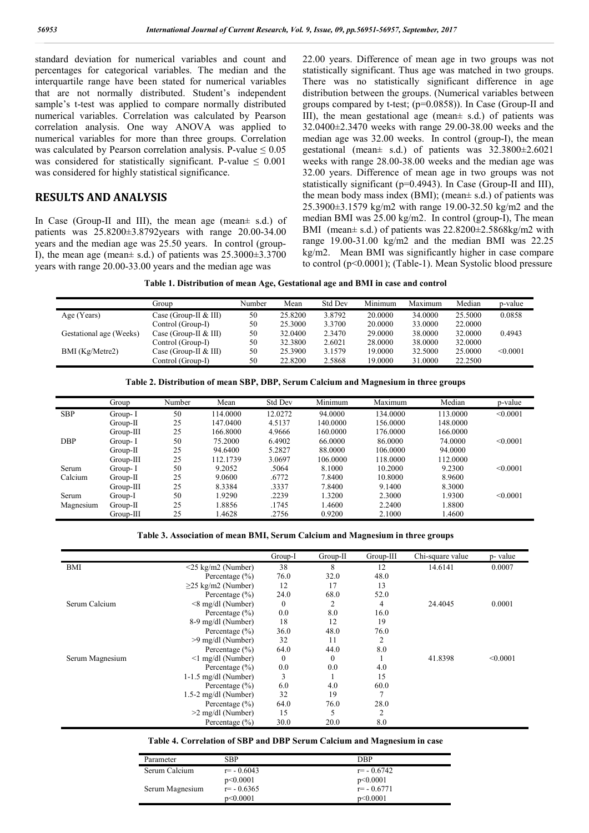standard deviation for numerical variables and count and percentages for categorical variables. The median and the interquartile range have been stated for numerical variables that are not normally distributed. Student's independent sample's t-test was applied to compare normally distributed numerical variables. Correlation was calculated by Pearson correlation analysis. One way ANOVA was applied to numerical variables for more than three groups. Correlation was calculated by Pearson correlation analysis. P-value  $\leq 0.05$ was considered for statistically significant. P-value  $\leq 0.001$ was considered for highly statistical significance.

### **RESULTS AND ANALYSIS**

In Case (Group-II and III), the mean age (mean± s.d.) of patients was 25.8200±3.8792years with range 20.00-34.00 years and the median age was 25.50 years. In control (group-I), the mean age (mean $\pm$  s.d.) of patients was  $25.3000\pm3.3700$ years with range 20.00-33.00 years and the median age was

22.00 years. Difference of mean age in two groups was not statistically significant. Thus age was matched in two groups. There was no statistically significant difference in age distribution between the groups. (Numerical variables between groups compared by t-test; (p=0.0858)). In Case (Group-II and III), the mean gestational age (mean± s.d.) of patients was 32.0400±2.3470 weeks with range 29.00-38.00 weeks and the median age was 32.00 weeks. In control (group-I), the mean gestational (mean± s.d.) of patients was 32.3800±2.6021 weeks with range 28.00-38.00 weeks and the median age was 32.00 years. Difference of mean age in two groups was not statistically significant (p=0.4943). In Case (Group-II and III), the mean body mass index (BMI); (mean $\pm$  s.d.) of patients was 25.3900±3.1579 kg/m2 with range 19.00-32.50 kg/m2 and the median BMI was 25.00 kg/m2. In control (group-I), The mean BMI (mean± s.d.) of patients was 22.8200±2.5868kg/m2 with range 19.00-31.00 kg/m2 and the median BMI was 22.25 kg/m2. Mean BMI was significantly higher in case compare to control (p<0.0001); (Table-1). Mean Systolic blood pressure

**Table 1. Distribution of mean Age, Gestational age and BMI in case and control**

|                         | Group                 | Number | Mean    | <b>Std Dev</b> | Minimum | Maximum | Median  | p-value  |
|-------------------------|-----------------------|--------|---------|----------------|---------|---------|---------|----------|
| Age (Years)             | Case (Group-II & III) | 50     | 25.8200 | 3.8792         | 20,0000 | 34,0000 | 25.5000 | 0.0858   |
|                         | Control (Group-I)     | 50     | 25.3000 | 3.3700         | 20,0000 | 33,0000 | 22,0000 |          |
| Gestational age (Weeks) | Case (Group-II & III) | 50     | 32.0400 | 2.3470         | 29,0000 | 38,0000 | 32,0000 | 0.4943   |
|                         | Control (Group-I)     | 50     | 32.3800 | 2.6021         | 28,0000 | 38,0000 | 32,0000 |          |
| BMI (Kg/Metre2)         | Case (Group-II & III) | 50     | 25.3900 | 3.1579         | 19.0000 | 32.5000 | 25,0000 | < 0.0001 |
|                         | Control (Group-I)     | 50     | 22.8200 | 2.5868         | 19.0000 | 31,0000 | 22.2500 |          |

|  | Table 2. Distribution of mean SBP, DBP, Serum Calcium and Magnesium in three groups |  |
|--|-------------------------------------------------------------------------------------|--|
|  |                                                                                     |  |

|            | Group       | Number | Mean     | <b>Std Dev</b> | Minimum  | Maximum  | Median   | p-value       |
|------------|-------------|--------|----------|----------------|----------|----------|----------|---------------|
| <b>SBP</b> | Group-I     | 50     | 114.0000 | 12.0272        | 94.0000  | 134.0000 | 113.0000 | < 0.0001      |
|            | $Group-II$  | 25     | 147.0400 | 4.5137         | 140.0000 | 156.0000 | 148,0000 |               |
|            | Group-III   | 25     | 166.8000 | 4.9666         | 160.0000 | 176.0000 | 166.0000 |               |
| <b>DBP</b> | Group-I     | 50     | 75.2000  | 6.4902         | 66.0000  | 86.0000  | 74.0000  | < 0.0001      |
|            | $Group-II$  | 25     | 94.6400  | 5.2827         | 88.0000  | 106.0000 | 94.0000  |               |
|            | $Group-III$ | 25     | 112.1739 | 3.0697         | 106.0000 | 118.0000 | 112,0000 |               |
| Serum      | Group-I     | 50     | 9.2052   | .5064          | 8.1000   | 10.2000  | 9.2300   | < 0.0001      |
| Calcium    | $Group-II$  | 25     | 9.0600   | .6772          | 7.8400   | 10.8000  | 8.9600   |               |
|            | $Group-III$ | 25     | 8.3384   | .3337          | 7.8400   | 9.1400   | 8.3000   |               |
| Serum      | Group-I     | 50     | 1.9290   | .2239          | 1.3200   | 2.3000   | 1.9300   | $\leq 0.0001$ |
| Magnesium  | Group-II    | 25     | 1.8856   | .1745          | 1.4600   | 2.2400   | .8800    |               |
|            | $Group-III$ | 25     | 1.4628   | .2756          | 0.9200   | 2.1000   | .4600    |               |

**Table 3. Association of mean BMI, Serum Calcium and Magnesium in three groups**

|                 |                          | Group-I      | $Group-II$   | Group-III | Chi-square value | p- value |
|-----------------|--------------------------|--------------|--------------|-----------|------------------|----------|
| <b>BMI</b>      | $<$ 25 kg/m2 (Number)    | 38           | 8            | 12        | 14.6141          | 0.0007   |
|                 | Percentage $(\% )$       | 76.0         | 32.0         | 48.0      |                  |          |
|                 | $\geq$ 25 kg/m2 (Number) | 12           | 17           | 13        |                  |          |
|                 | Percentage $(\% )$       | 24.0         | 68.0         | 52.0      |                  |          |
| Serum Calcium   | $\leq$ 8 mg/dl (Number)  | $\mathbf{0}$ | 2            | 4         | 24.4045          | 0.0001   |
|                 | Percentage $(\% )$       | 0.0          | 8.0          | 16.0      |                  |          |
|                 | 8-9 mg/dl (Number)       | 18           | 12           | 19        |                  |          |
|                 | Percentage $(\% )$       | 36.0         | 48.0         | 76.0      |                  |          |
|                 | >9 mg/dl (Number)        | 32           | 11           | 2         |                  |          |
|                 | Percentage $(\% )$       | 64.0         | 44.0         | 8.0       |                  |          |
| Serum Magnesium | $\leq$ 1 mg/dl (Number)  | $\mathbf{0}$ | $\mathbf{0}$ |           | 41.8398          | < 0.0001 |
|                 | Percentage $(\% )$       | 0.0          | 0.0          | 4.0       |                  |          |
|                 | $1-1.5$ mg/dl (Number)   | 3            |              | 15        |                  |          |
|                 | Percentage $(\% )$       | 6.0          | 4.0          | 60.0      |                  |          |
|                 | 1.5-2 mg/dl (Number)     | 32           | 19           |           |                  |          |
|                 | Percentage $(\% )$       | 64.0         | 76.0         | 28.0      |                  |          |
|                 | $>2$ mg/dl (Number)      | 15           | 5            | 2         |                  |          |
|                 | Percentage $(\% )$       | 30.0         | 20.0         | 8.0       |                  |          |

#### **Table 4. Correlation of SBP and DBP Serum Calcium and Magnesium in case**

| Parameter       | SBP           | DBP           |
|-----------------|---------------|---------------|
| Serum Calcium   | $r = -0.6043$ | $r = -0.6742$ |
|                 | p<0.0001      | p<0.0001      |
| Serum Magnesium | $r = -0.6365$ | $r = -0.6771$ |
|                 | p<0.0001      | p<0.0001      |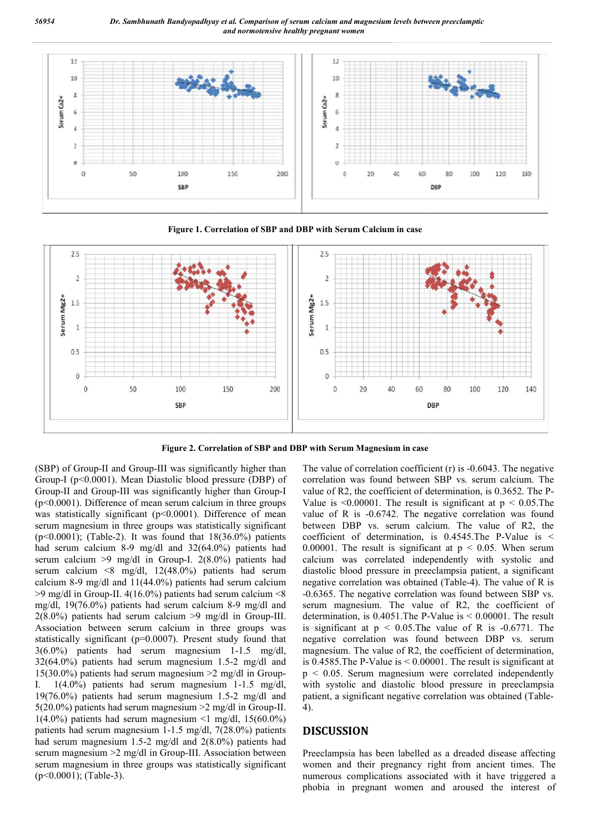

**Figure 1. Correlation of SBP and DBP with Serum Calcium in case**



**Figure 2. Correlation of SBP and DBP with Serum Magnesium in case**

(SBP) of Group-II and Group-III was significantly higher than Group-I (p<0.0001). Mean Diastolic blood pressure (DBP) of Group-II and Group-III was significantly higher than Group (p<0.0001). Difference of mean serum calcium in three groups was statistically significant (p<0.0001). Difference of mean serum magnesium in three groups was statistically significant ( $p<0.0001$ ); (Table-2). It was found that  $18(36.0\%)$  patients had serum calcium 8-9 mg/dl and 32(64.0%) patients had serum calcium >9 mg/dl in Group-I. 2(8.0%) patients had serum calcium <8 mg/dl, 12(48.0%) patients had serum calcium 8-9 mg/dl and 11(44.0%) patients had serum calcium  $>9$  mg/dl in Group-II. 4(16.0%) patients had serum calcium  $\leq 8$ mg/dl, 19(76.0%) patients had serum calcium 8  $2(8.0\%)$  patients had serum calcium  $>9$  mg/dl in Group-III. Association between serum calcium in three groups was statistically significant (p=0.0007). Present study found that 3(6.0%) patients had serum magnesium 1-1.5 mg/dl,  $32(64.0%)$  patients had serum magnesium 1.5-2 mg/dl and 15(30.0%) patients had serum magnesium  $\geq 2$  mg/dl in Group-I.  $1(4.0\%)$  patients had serum magnesium  $1-1.5$  mg/dl, 19 $(76.0%)$  patients had serum magnesium 1.5-2 mg/dl and 5(20.0%) patients had serum magnesium >2 mg/dl in Group Group-II.  $1(4.0\%)$  patients had serum magnesium <1 mg/dl, 15(60.0%) patients had serum magnesium 1-1.5 mg/dl, 7(28.0%) patients had serum magnesium 1.5-2 mg/dl and 2(8.0%) patients had serum magnesium >2 mg/dl in Group-III. Association between serum magnesium in three groups was statistically significant (p<0.0001); (Table-3). d Group-III was significantly higher than<br>Mean Diastolic blood pressure (DBP) of<br>III was significantly higher than Group-I gnesium in three groups was statistically significant<br>
(; (Table-2). It was found that  $18(36.0%)$  patients<br>
(in calcium 8-9 mg/dl and  $32(64.0%)$  patients had<br>
cium >9 mg/dl in Group-I.  $2(8.0%)$  patients had<br>
cium <8 mg/dl cium in three groups was<br>7). Present study found that<br>magnesium 1-1.5 mg/dl, 10-III was significantly higher than The value of correlation coefficient (r) is<br>2 Diastolic blood pressure (DBP) of correlation was found between SBP vs.<br>
is significantly higher than Group-I value of R2, the coefficient

correlation was found between SBP vs. serum calcium. The correlation was found between SBP vs. serum calcium. The value of R2, the coefficient of determination, is 0.3652. The P-Value is  $\leq 0.00001$ . The result is significant at  $p \leq 0.05$ . The value of R is -0.6742. The negative correlation was found between DBP vs. serum calcium. The value of R2, the coefficient of determination, is  $0.4545$ . The P-Value is < 0.00001. The result is significant at  $p < 0.05$ . When serum 0.00001. The result is significant at  $p < 0.05$ . When serum calcium was correlated independently with systolic and diastolic blood pressure in preeclampsia patient, a significant negative correlation was obtained (Table-4). The value of R is negative correlation was obtained (Table-4). The value of R is -0.6365. The negative correlation was found between SBP vs. -0.6365. The negative correlation was found between SBP vs.<br>serum magnesium. The value of R2, the coefficient of determination, is  $0.4051$ . The P-Value is  $\leq 0.00001$ . The result is significant at  $p < 0.05$ . The value of R is  $-0.6771$ . The negative correlation was found between DBP vs. serum magnesium. The value of R2, the coefficient of determination, is 0.4585.The P-Value is < 0.00001. The result is significant at  $p \leq 0.05$ . Serum magnesium were correlated independently with systolic and diastolic blood pressure in preeclampsia patient, a significant negative correlation was obtained 4). The value of correlation coefficient  $(r)$  is  $-0.6043$ . The negative 0.00001. The result is significant at  $p < 0.05$ . The is -0.6742. The negative correlation was found BP vs. serum calcium. The value of R2, the of determination, is 0.4545. The P-Value is  $\leq$ ive correlation was found between DBP vs. serum<br>esium. The value of R2, the coefficient of determination,<br>585.The P-Value is < 0.00001. The result is significant at<br>0.05. Serum magnesium were correlated independently<br>systo coefficient (r) is -(<br>between SBP vs. :<br>lient of determinatic<br>e result is signific.<br>The negative coum<br>calcium. The<br>nation, is 0.4545.<br>significant at  $p <$ <br>ed independently<br>in preeclampsia ps obtained (Table-4<br>correlation w

#### **DISCUSSION**

Preeclampsia has been labelled as a dreaded disease affecting women and their pregnancy right from ancient times. The numerous complications associated with it have triggered a phobia in pregnant women and aroused the interest of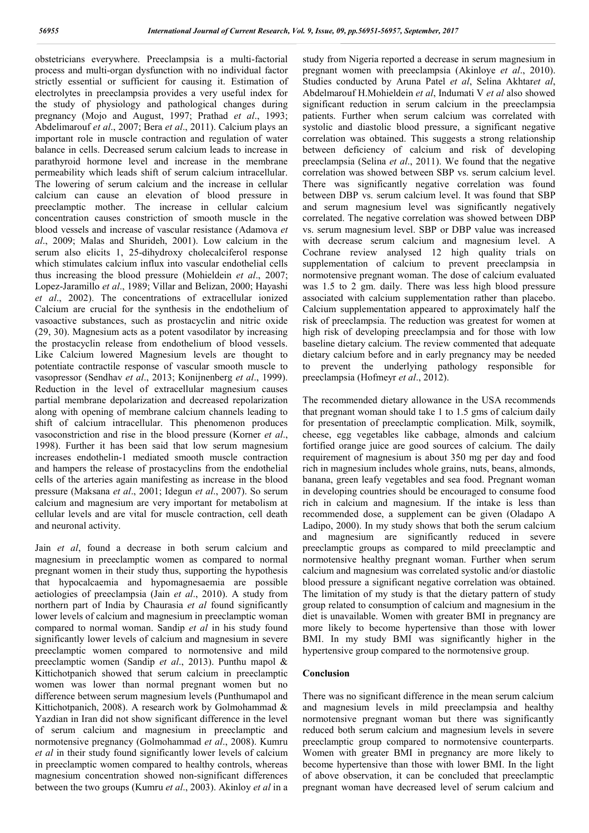obstetricians everywhere. Preeclampsia is a multi-factorial process and multi-organ dysfunction with no individual factor strictly essential or sufficient for causing it. Estimation of electrolytes in preeclampsia provides a very useful index for the study of physiology and pathological changes during pregnancy (Mojo and August, 1997; Prathad *et al*., 1993; Abdelimarouf *et al*., 2007; Bera *et al*., 2011). Calcium plays an important role in muscle contraction and regulation of water balance in cells. Decreased serum calcium leads to increase in parathyroid hormone level and increase in the membrane permeability which leads shift of serum calcium intracellular. The lowering of serum calcium and the increase in cellular calcium can cause an elevation of blood pressure in preeclamptic mother. The increase in cellular calcium concentration causes constriction of smooth muscle in the blood vessels and increase of vascular resistance (Adamova *et al*., 2009; Malas and Shurideh, 2001). Low calcium in the serum also elicits 1, 25-dihydroxy cholecalciferol response which stimulates calcium influx into vascular endothelial cells thus increasing the blood pressure (Mohieldein *et al*., 2007; Lopez-Jaramillo *et al*., 1989; Villar and Belizan, 2000; Hayashi *et al*., 2002). The concentrations of extracellular ionized Calcium are crucial for the synthesis in the endothelium of vasoactive substances, such as prostacyclin and nitric oxide (29, 30). Magnesium acts as a potent vasodilator by increasing the prostacyclin release from endothelium of blood vessels. Like Calcium lowered Magnesium levels are thought to potentiate contractile response of vascular smooth muscle to vasopressor (Sendhav *et al*., 2013; Konijnenberg *et al*., 1999). Reduction in the level of extracellular magnesium causes partial membrane depolarization and decreased repolarization along with opening of membrane calcium channels leading to shift of calcium intracellular. This phenomenon produces vasoconstriction and rise in the blood pressure (Korner *et al*., 1998). Further it has been said that low serum magnesium increases endothelin-1 mediated smooth muscle contraction and hampers the release of prostacyclins from the endothelial cells of the arteries again manifesting as increase in the blood pressure (Maksana *et al*., 2001; Idegun *et al*., 2007). So serum calcium and magnesium are very important for metabolism at cellular levels and are vital for muscle contraction, cell death and neuronal activity.

Jain *et al*, found a decrease in both serum calcium and magnesium in preeclamptic women as compared to normal pregnant women in their study thus, supporting the hypothesis that hypocalcaemia and hypomagnesaemia are possible aetiologies of preeclampsia (Jain *et al*., 2010). A study from northern part of India by Chaurasia *et al* found significantly lower levels of calcium and magnesium in preeclamptic woman compared to normal woman. Sandip *et al* in his study found significantly lower levels of calcium and magnesium in severe preeclamptic women compared to normotensive and mild preeclamptic women (Sandip *et al*., 2013). Punthu mapol & Kittichotpanich showed that serum calcium in preeclamptic women was lower than normal pregnant women but no difference between serum magnesium levels (Punthumapol and Kittichotpanich, 2008). A research work by Golmohammad & Yazdian in Iran did not show significant difference in the level of serum calcium and magnesium in preeclamptic and normotensive pregnancy (Golmohammad *et al*., 2008). Kumru *et al* in their study found significantly lower levels of calcium in preeclamptic women compared to healthy controls, whereas magnesium concentration showed non-significant differences between the two groups (Kumru *et al*., 2003). Akinloy *et al* in a

study from Nigeria reported a decrease in serum magnesium in pregnant women with preeclampsia (Akinloye *et al*., 2010). Studies conducted by Aruna Patel *et al*, Selina Akhtar*et al*, Abdelmarouf H.Mohieldein *et al*, Indumati V *et al* also showed significant reduction in serum calcium in the preeclampsia patients. Further when serum calcium was correlated with systolic and diastolic blood pressure, a significant negative correlation was obtained. This suggests a strong relationship between deficiency of calcium and risk of developing preeclampsia (Selina *et al*., 2011). We found that the negative correlation was showed between SBP vs. serum calcium level. There was significantly negative correlation was found between DBP vs. serum calcium level. It was found that SBP and serum magnesium level was significantly negatively correlated. The negative correlation was showed between DBP vs. serum magnesium level. SBP or DBP value was increased with decrease serum calcium and magnesium level. A Cochrane review analysed 12 high quality trials on supplementation of calcium to prevent preeclampsia in normotensive pregnant woman. The dose of calcium evaluated was 1.5 to 2 gm. daily. There was less high blood pressure associated with calcium supplementation rather than placebo. Calcium supplementation appeared to approximately half the risk of preeclampsia. The reduction was greatest for women at high risk of developing preeclampsia and for those with low baseline dietary calcium. The review commented that adequate dietary calcium before and in early pregnancy may be needed to prevent the underlying pathology responsible for preeclampsia (Hofmeyr *et al*., 2012).

The recommended dietary allowance in the USA recommends that pregnant woman should take 1 to 1.5 gms of calcium daily for presentation of preeclamptic complication. Milk, soymilk, cheese, egg vegetables like cabbage, almonds and calcium fortified orange juice are good sources of calcium. The daily requirement of magnesium is about 350 mg per day and food rich in magnesium includes whole grains, nuts, beans, almonds, banana, green leafy vegetables and sea food. Pregnant woman in developing countries should be encouraged to consume food rich in calcium and magnesium. If the intake is less than recommended dose, a supplement can be given (Oladapo A Ladipo, 2000). In my study shows that both the serum calcium and magnesium are significantly reduced in severe preeclamptic groups as compared to mild preeclamptic and normotensive healthy pregnant woman. Further when serum calcium and magnesium was correlated systolic and/or diastolic blood pressure a significant negative correlation was obtained. The limitation of my study is that the dietary pattern of study group related to consumption of calcium and magnesium in the diet is unavailable. Women with greater BMI in pregnancy are more likely to become hypertensive than those with lower BMI. In my study BMI was significantly higher in the hypertensive group compared to the normotensive group.

#### **Conclusion**

There was no significant difference in the mean serum calcium and magnesium levels in mild preeclampsia and healthy normotensive pregnant woman but there was significantly reduced both serum calcium and magnesium levels in severe preeclamptic group compared to normotensive counterparts. Women with greater BMI in pregnancy are more likely to become hypertensive than those with lower BMI. In the light of above observation, it can be concluded that preeclamptic pregnant woman have decreased level of serum calcium and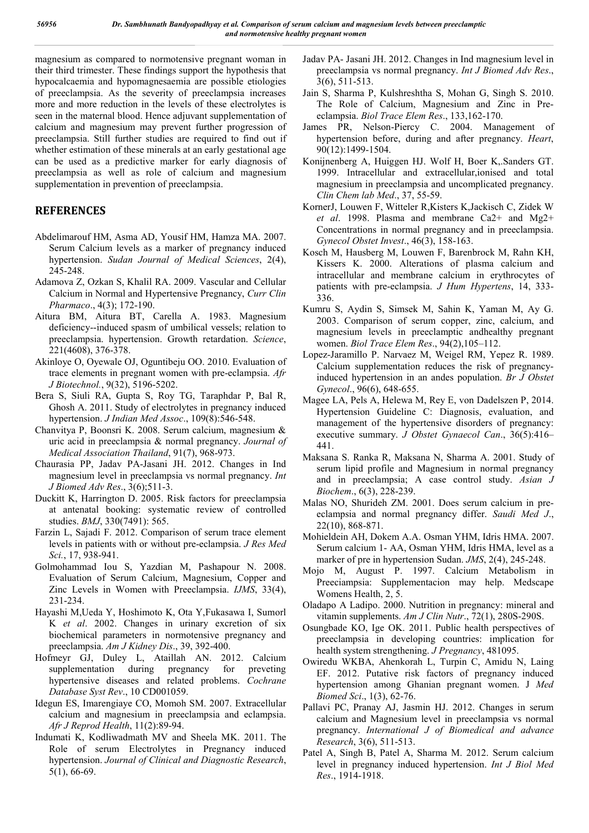magnesium as compared to normotensive pregnant woman in their third trimester. These findings support the hypothesis that hypocalcaemia and hypomagnesaemia are possible etiologies of preeclampsia. As the severity of preeclampsia increases more and more reduction in the levels of these electrolytes is seen in the maternal blood. Hence adjuvant supplementation of calcium and magnesium may prevent further progression of preeclampsia. Still further studies are required to find out if whether estimation of these minerals at an early gestational age can be used as a predictive marker for early diagnosis of preeclampsia as well as role of calcium and magnesium supplementation in prevention of preeclampsia.

# **REFERENCES**

- Abdelimarouf HM, Asma AD, Yousif HM, Hamza MA. 2007. Serum Calcium levels as a marker of pregnancy induced hypertension. *Sudan Journal of Medical Sciences*, 2(4), 245-248.
- Adamova Z, Ozkan S, Khalil RA. 2009. Vascular and Cellular Calcium in Normal and Hypertensive Pregnancy, *Curr Clin Pharmaco*., 4(3); 172-190.
- Aitura BM, Aitura BT, Carella A. 1983. Magnesium deficiency--induced spasm of umbilical vessels; relation to preeclampsia. hypertension. Growth retardation. *Science*, 221(4608), 376-378.
- Akinloye O, Oyewale OJ, Oguntibeju OO. 2010. Evaluation of trace elements in pregnant women with pre-eclampsia. *Afr J Biotechnol.*, 9(32), 5196-5202.
- Bera S, Siuli RA, Gupta S, Roy TG, Taraphdar P, Bal R, Ghosh A. 2011. Study of electrolytes in pregnancy induced hypertension. *J Indian Med Assoc*., 109(8):546-548.
- Chanvitya P, Boonsri K. 2008. Serum calcium, magnesium & uric acid in preeclampsia & normal pregnancy. *Journal of Medical Association Thailand*, 91(7), 968-973.
- Chaurasia PP, Jadav PA-Jasani JH. 2012. Changes in Ind magnesium level in preeclampsia vs normal pregnancy. *Int J Biomed Adv Res*., 3(6);511-3.
- Duckitt K, Harrington D. 2005. Risk factors for preeclampsia at antenatal booking: systematic review of controlled studies. *BMJ*, 330(7491): 565.
- Farzin L, Sajadi F. 2012. Comparison of serum trace element levels in patients with or without pre-eclampsia. *J Res Med Sci.*, 17, 938-941.
- Golmohammad Iou S, Yazdian M, Pashapour N. 2008. Evaluation of Serum Calcium, Magnesium, Copper and Zinc Levels in Women with Preeclampsia. *IJMS*, 33(4), 231-234.
- Hayashi M,Ueda Y, Hoshimoto K, Ota Y,Fukasawa I, Sumorl K *et al*. 2002. Changes in urinary excretion of six biochemical parameters in normotensive pregnancy and preeclampsia. *Am J Kidney Dis*., 39, 392-400.
- Hofmeyr GJ, Duley L, Ataillah AN. 2012. Calcium supplementation during pregnancy for preveting hypertensive diseases and related problems. *Cochrane Database Syst Rev*., 10 CD001059.
- Idegun ES, Imarengiaye CO, Momoh SM. 2007. Extracellular calcium and magnesium in preeclampsia and eclampsia. *Afr J Reprod Health*, 11(2):89-94.
- Indumati K, Kodliwadmath MV and Sheela MK. 2011. The Role of serum Electrolytes in Pregnancy induced hypertension. *Journal of Clinical and Diagnostic Research*, 5(1), 66-69.
- Jadav PA- Jasani JH. 2012. Changes in Ind magnesium level in preeclampsia vs normal pregnancy. *Int J Biomed Adv Res*., 3(6), 511-513.
- Jain S, Sharma P, Kulshreshtha S, Mohan G, Singh S. 2010. The Role of Calcium, Magnesium and Zinc in Preeclampsia. *Biol Trace Elem Res*., 133,162-170.
- James PR, Nelson-Piercy C. 2004. Management of hypertension before, during and after pregnancy. *Heart*, 90(12):1499-1504.
- Konijnenberg A, Huiggen HJ. Wolf H, Boer K,.Sanders GT. 1999. Intracellular and extracellular,ionised and total magnesium in preeclampsia and uncomplicated pregnancy. *Clin Chem lab Med*., 37, 55-59.
- KornerJ, Louwen F, Witteler R,Kisters K,Jackisch C, Zidek W *et al*. 1998. Plasma and membrane Ca2+ and Mg2+ Concentrations in normal pregnancy and in preeclampsia. *Gynecol Obstet Invest*., 46(3), 158-163.
- Kosch M, Hausberg M, Louwen F, Barenbrock M, Rahn KH, Kissers K. 2000. Alterations of plasma calcium and intracellular and membrane calcium in erythrocytes of patients with pre-eclampsia. *J Hum Hypertens*, 14, 333- 336.
- Kumru S, Aydin S, Simsek M, Sahin K, Yaman M, Ay G. 2003. Comparison of serum copper, zinc, calcium, and magnesium levels in preeclamptic andhealthy pregnant women. *Biol Trace Elem Res*., 94(2),105–112.
- Lopez-Jaramillo P. Narvaez M, Weigel RM, Yepez R. 1989. Calcium supplementation reduces the risk of pregnancyinduced hypertension in an andes population. *Br J Obstet Gynecol*., 96(6), 648-655.
- Magee LA, Pels A, Helewa M, Rey E, von Dadelszen P, 2014. Hypertension Guideline C: Diagnosis, evaluation, and management of the hypertensive disorders of pregnancy: executive summary. *J Obstet Gynaecol Can*., 36(5):416– 441.
- Maksana S. Ranka R, Maksana N, Sharma A. 2001. Study of serum lipid profile and Magnesium in normal pregnancy and in preeclampsia; A case control study. *Asian J Biochem*., 6(3), 228-239.
- Malas NO, Shurideh ZM. 2001. Does serum calcium in preeclampsia and normal pregnancy differ. *Saudi Med J*., 22(10), 868-871.
- Mohieldein AH, Dokem A.A. Osman YHM, Idris HMA. 2007. Serum calcium 1- AA, Osman YHM, Idris HMA, level as a marker of pre in hypertension Sudan. *JMS*, 2(4), 245-248.
- Mojo M, August P. 1997. Calcium Metabolism in Preeciampsia: Supplementacion may help. Medscape Womens Health, 2, 5.
- Oladapo A Ladipo. 2000. Nutrition in pregnancy: mineral and vitamin supplements. *Am J Clin Nutr*., 72(1), 280S-290S.
- Osungbade KO, Ige OK. 2011. Public health perspectives of preeclampsia in developing countries: implication for health system strengthening. *J Pregnancy*, 481095.
- Owiredu WKBA, Ahenkorah L, Turpin C, Amidu N, Laing EF. 2012. Putative risk factors of pregnancy induced hypertension among Ghanian pregnant women. J *Med Biomed Sci*., 1(3), 62-76.
- Pallavi PC, Pranay AJ, Jasmin HJ. 2012. Changes in serum calcium and Magnesium level in preeclampsia vs normal pregnancy. *International J of Biomedical and advance Research*, 3(6), 511-513.
- Patel A, Singh B, Patel A, Sharma M. 2012. Serum calcium level in pregnancy induced hypertension. *Int J Biol Med Res*., 1914-1918.